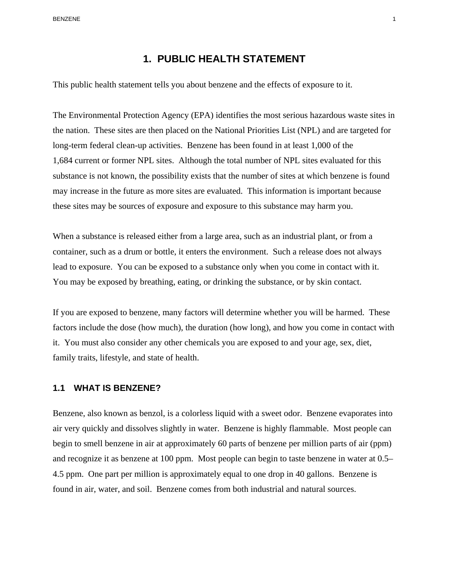# **1. PUBLIC HEALTH STATEMENT**

This public health statement tells you about benzene and the effects of exposure to it.

The Environmental Protection Agency (EPA) identifies the most serious hazardous waste sites in the nation. These sites are then placed on the National Priorities List (NPL) and are targeted for long-term federal clean-up activities. Benzene has been found in at least 1,000 of the 1,684 current or former NPL sites. Although the total number of NPL sites evaluated for this substance is not known, the possibility exists that the number of sites at which benzene is found may increase in the future as more sites are evaluated. This information is important because these sites may be sources of exposure and exposure to this substance may harm you.

When a substance is released either from a large area, such as an industrial plant, or from a container, such as a drum or bottle, it enters the environment. Such a release does not always lead to exposure. You can be exposed to a substance only when you come in contact with it. You may be exposed by breathing, eating, or drinking the substance, or by skin contact.

If you are exposed to benzene, many factors will determine whether you will be harmed. These factors include the dose (how much), the duration (how long), and how you come in contact with it. You must also consider any other chemicals you are exposed to and your age, sex, diet, family traits, lifestyle, and state of health.

### **1.1 WHAT IS BENZENE?**

Benzene, also known as benzol, is a colorless liquid with a sweet odor. Benzene evaporates into air very quickly and dissolves slightly in water. Benzene is highly flammable. Most people can begin to smell benzene in air at approximately 60 parts of benzene per million parts of air (ppm) and recognize it as benzene at 100 ppm. Most people can begin to taste benzene in water at 0.5– 4.5 ppm. One part per million is approximately equal to one drop in 40 gallons. Benzene is found in air, water, and soil. Benzene comes from both industrial and natural sources.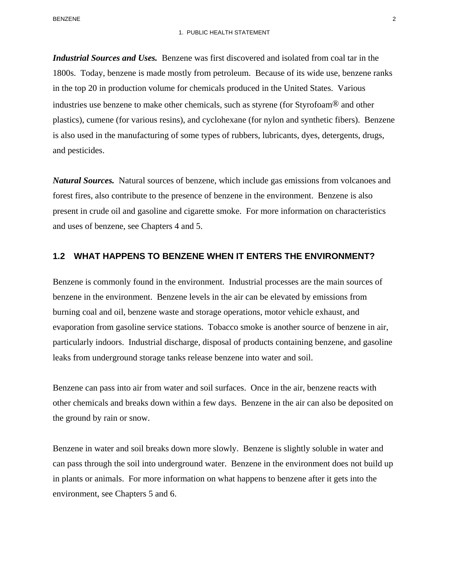*Industrial Sources and Uses.* Benzene was first discovered and isolated from coal tar in the 1800s. Today, benzene is made mostly from petroleum. Because of its wide use, benzene ranks in the top 20 in production volume for chemicals produced in the United States. Various industries use benzene to make other chemicals, such as styrene (for Styrofoam® and other plastics), cumene (for various resins), and cyclohexane (for nylon and synthetic fibers). Benzene is also used in the manufacturing of some types of rubbers, lubricants, dyes, detergents, drugs, and pesticides.

*Natural Sources.* Natural sources of benzene, which include gas emissions from volcanoes and forest fires, also contribute to the presence of benzene in the environment. Benzene is also present in crude oil and gasoline and cigarette smoke. For more information on characteristics and uses of benzene, see Chapters 4 and 5.

### **1.2 WHAT HAPPENS TO BENZENE WHEN IT ENTERS THE ENVIRONMENT?**

Benzene is commonly found in the environment. Industrial processes are the main sources of benzene in the environment. Benzene levels in the air can be elevated by emissions from burning coal and oil, benzene waste and storage operations, motor vehicle exhaust, and evaporation from gasoline service stations. Tobacco smoke is another source of benzene in air, particularly indoors. Industrial discharge, disposal of products containing benzene, and gasoline leaks from underground storage tanks release benzene into water and soil.

Benzene can pass into air from water and soil surfaces. Once in the air, benzene reacts with other chemicals and breaks down within a few days. Benzene in the air can also be deposited on the ground by rain or snow.

Benzene in water and soil breaks down more slowly. Benzene is slightly soluble in water and can pass through the soil into underground water. Benzene in the environment does not build up in plants or animals. For more information on what happens to benzene after it gets into the environment, see Chapters 5 and 6.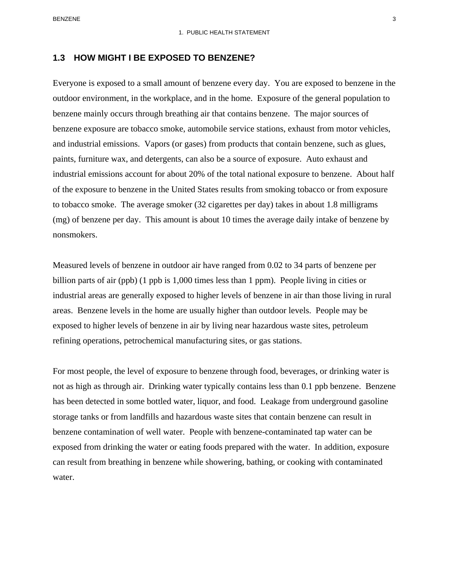### **1.3 HOW MIGHT I BE EXPOSED TO BENZENE?**

Everyone is exposed to a small amount of benzene every day. You are exposed to benzene in the outdoor environment, in the workplace, and in the home. Exposure of the general population to benzene mainly occurs through breathing air that contains benzene. The major sources of benzene exposure are tobacco smoke, automobile service stations, exhaust from motor vehicles, and industrial emissions. Vapors (or gases) from products that contain benzene, such as glues, paints, furniture wax, and detergents, can also be a source of exposure. Auto exhaust and industrial emissions account for about 20% of the total national exposure to benzene. About half of the exposure to benzene in the United States results from smoking tobacco or from exposure to tobacco smoke. The average smoker (32 cigarettes per day) takes in about 1.8 milligrams (mg) of benzene per day. This amount is about 10 times the average daily intake of benzene by nonsmokers.

Measured levels of benzene in outdoor air have ranged from 0.02 to 34 parts of benzene per billion parts of air (ppb) (1 ppb is 1,000 times less than 1 ppm). People living in cities or industrial areas are generally exposed to higher levels of benzene in air than those living in rural areas. Benzene levels in the home are usually higher than outdoor levels. People may be exposed to higher levels of benzene in air by living near hazardous waste sites, petroleum refining operations, petrochemical manufacturing sites, or gas stations.

For most people, the level of exposure to benzene through food, beverages, or drinking water is not as high as through air. Drinking water typically contains less than 0.1 ppb benzene. Benzene has been detected in some bottled water, liquor, and food. Leakage from underground gasoline storage tanks or from landfills and hazardous waste sites that contain benzene can result in benzene contamination of well water. People with benzene-contaminated tap water can be exposed from drinking the water or eating foods prepared with the water. In addition, exposure can result from breathing in benzene while showering, bathing, or cooking with contaminated water.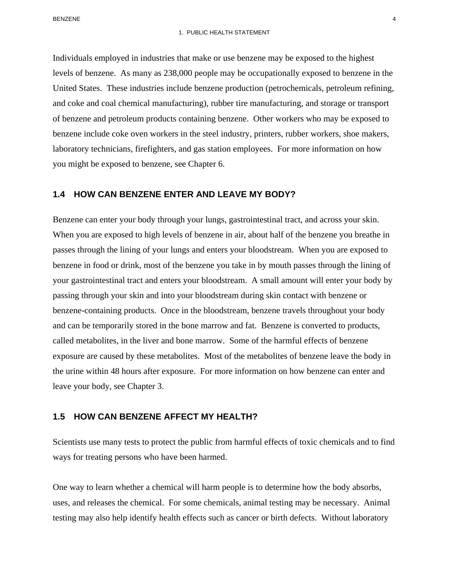Individuals employed in industries that make or use benzene may be exposed to the highest levels of benzene. As many as 238,000 people may be occupationally exposed to benzene in the United States. These industries include benzene production (petrochemicals, petroleum refining, and coke and coal chemical manufacturing), rubber tire manufacturing, and storage or transport of benzene and petroleum products containing benzene. Other workers who may be exposed to benzene include coke oven workers in the steel industry, printers, rubber workers, shoe makers, laboratory technicians, firefighters, and gas station employees. For more information on how you might be exposed to benzene, see Chapter 6.

## **1.4 HOW CAN BENZENE ENTER AND LEAVE MY BODY?**

Benzene can enter your body through your lungs, gastrointestinal tract, and across your skin. When you are exposed to high levels of benzene in air, about half of the benzene you breathe in passes through the lining of your lungs and enters your bloodstream. When you are exposed to benzene in food or drink, most of the benzene you take in by mouth passes through the lining of your gastrointestinal tract and enters your bloodstream. A small amount will enter your body by passing through your skin and into your bloodstream during skin contact with benzene or benzene-containing products. Once in the bloodstream, benzene travels throughout your body and can be temporarily stored in the bone marrow and fat. Benzene is converted to products, called metabolites, in the liver and bone marrow. Some of the harmful effects of benzene exposure are caused by these metabolites. Most of the metabolites of benzene leave the body in the urine within 48 hours after exposure. For more information on how benzene can enter and leave your body, see Chapter 3.

### **1.5 HOW CAN BENZENE AFFECT MY HEALTH?**

Scientists use many tests to protect the public from harmful effects of toxic chemicals and to find ways for treating persons who have been harmed.

One way to learn whether a chemical will harm people is to determine how the body absorbs, uses, and releases the chemical. For some chemicals, animal testing may be necessary. Animal testing may also help identify health effects such as cancer or birth defects. Without laboratory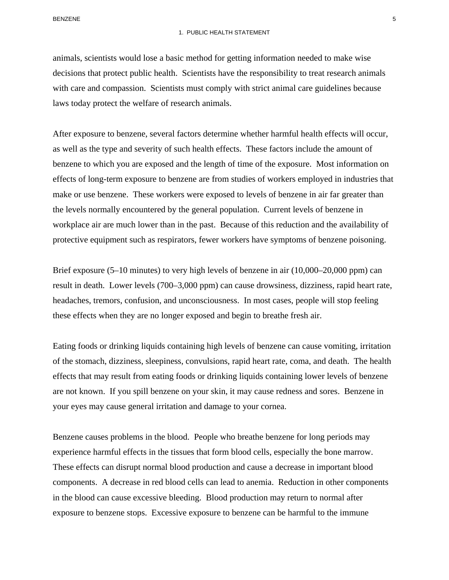#### 1. PUBLIC HEALTH STATEMENT

animals, scientists would lose a basic method for getting information needed to make wise decisions that protect public health. Scientists have the responsibility to treat research animals with care and compassion. Scientists must comply with strict animal care guidelines because laws today protect the welfare of research animals.

After exposure to benzene, several factors determine whether harmful health effects will occur, as well as the type and severity of such health effects. These factors include the amount of benzene to which you are exposed and the length of time of the exposure. Most information on effects of long-term exposure to benzene are from studies of workers employed in industries that make or use benzene. These workers were exposed to levels of benzene in air far greater than the levels normally encountered by the general population. Current levels of benzene in workplace air are much lower than in the past. Because of this reduction and the availability of protective equipment such as respirators, fewer workers have symptoms of benzene poisoning.

Brief exposure (5–10 minutes) to very high levels of benzene in air (10,000–20,000 ppm) can result in death. Lower levels (700–3,000 ppm) can cause drowsiness, dizziness, rapid heart rate, headaches, tremors, confusion, and unconsciousness. In most cases, people will stop feeling these effects when they are no longer exposed and begin to breathe fresh air.

Eating foods or drinking liquids containing high levels of benzene can cause vomiting, irritation of the stomach, dizziness, sleepiness, convulsions, rapid heart rate, coma, and death. The health effects that may result from eating foods or drinking liquids containing lower levels of benzene are not known. If you spill benzene on your skin, it may cause redness and sores. Benzene in your eyes may cause general irritation and damage to your cornea.

Benzene causes problems in the blood. People who breathe benzene for long periods may experience harmful effects in the tissues that form blood cells, especially the bone marrow. These effects can disrupt normal blood production and cause a decrease in important blood components. A decrease in red blood cells can lead to anemia. Reduction in other components in the blood can cause excessive bleeding. Blood production may return to normal after exposure to benzene stops. Excessive exposure to benzene can be harmful to the immune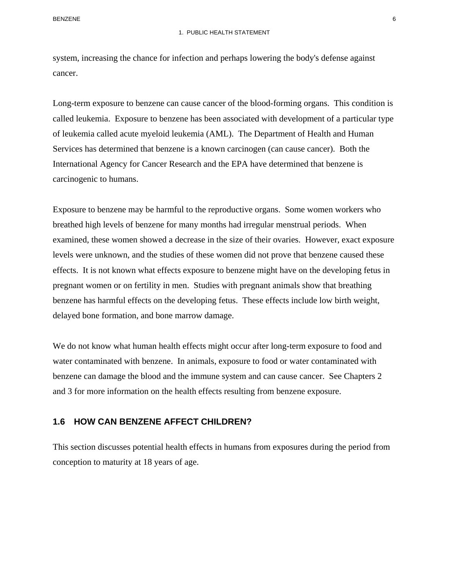system, increasing the chance for infection and perhaps lowering the body's defense against cancer.

Long-term exposure to benzene can cause cancer of the blood-forming organs. This condition is called leukemia. Exposure to benzene has been associated with development of a particular type of leukemia called acute myeloid leukemia (AML). The Department of Health and Human Services has determined that benzene is a known carcinogen (can cause cancer). Both the International Agency for Cancer Research and the EPA have determined that benzene is carcinogenic to humans.

Exposure to benzene may be harmful to the reproductive organs. Some women workers who breathed high levels of benzene for many months had irregular menstrual periods. When examined, these women showed a decrease in the size of their ovaries. However, exact exposure levels were unknown, and the studies of these women did not prove that benzene caused these effects. It is not known what effects exposure to benzene might have on the developing fetus in pregnant women or on fertility in men. Studies with pregnant animals show that breathing benzene has harmful effects on the developing fetus. These effects include low birth weight, delayed bone formation, and bone marrow damage.

We do not know what human health effects might occur after long-term exposure to food and water contaminated with benzene. In animals, exposure to food or water contaminated with benzene can damage the blood and the immune system and can cause cancer. See Chapters 2 and 3 for more information on the health effects resulting from benzene exposure.

### **1.6 HOW CAN BENZENE AFFECT CHILDREN?**

This section discusses potential health effects in humans from exposures during the period from conception to maturity at 18 years of age.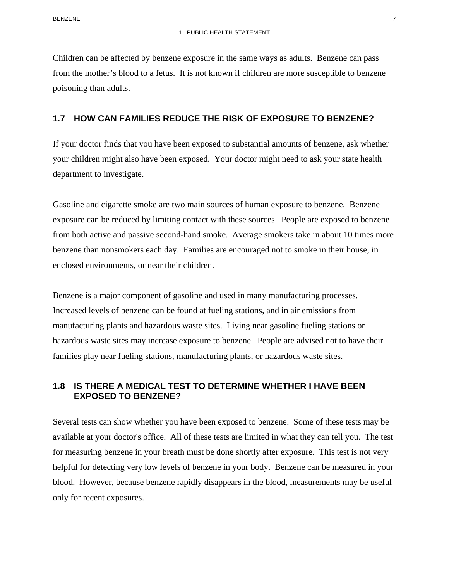Children can be affected by benzene exposure in the same ways as adults. Benzene can pass from the mother's blood to a fetus. It is not known if children are more susceptible to benzene poisoning than adults.

### **1.7 HOW CAN FAMILIES REDUCE THE RISK OF EXPOSURE TO BENZENE?**

If your doctor finds that you have been exposed to substantial amounts of benzene, ask whether your children might also have been exposed. Your doctor might need to ask your state health department to investigate.

Gasoline and cigarette smoke are two main sources of human exposure to benzene. Benzene exposure can be reduced by limiting contact with these sources. People are exposed to benzene from both active and passive second-hand smoke. Average smokers take in about 10 times more benzene than nonsmokers each day. Families are encouraged not to smoke in their house, in enclosed environments, or near their children.

Benzene is a major component of gasoline and used in many manufacturing processes. Increased levels of benzene can be found at fueling stations, and in air emissions from manufacturing plants and hazardous waste sites. Living near gasoline fueling stations or hazardous waste sites may increase exposure to benzene. People are advised not to have their families play near fueling stations, manufacturing plants, or hazardous waste sites.

# **1.8 IS THERE A MEDICAL TEST TO DETERMINE WHETHER I HAVE BEEN EXPOSED TO BENZENE?**

Several tests can show whether you have been exposed to benzene. Some of these tests may be available at your doctor's office. All of these tests are limited in what they can tell you. The test for measuring benzene in your breath must be done shortly after exposure. This test is not very helpful for detecting very low levels of benzene in your body. Benzene can be measured in your blood. However, because benzene rapidly disappears in the blood, measurements may be useful only for recent exposures.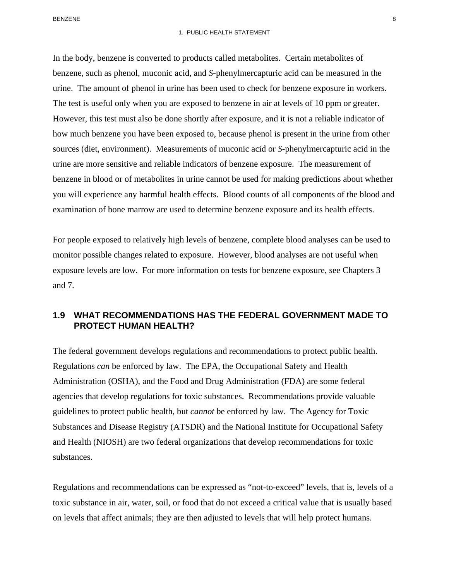In the body, benzene is converted to products called metabolites. Certain metabolites of benzene, such as phenol, muconic acid, and *S*-phenylmercapturic acid can be measured in the urine. The amount of phenol in urine has been used to check for benzene exposure in workers. The test is useful only when you are exposed to benzene in air at levels of 10 ppm or greater. However, this test must also be done shortly after exposure, and it is not a reliable indicator of how much benzene you have been exposed to, because phenol is present in the urine from other sources (diet, environment). Measurements of muconic acid or *S*-phenylmercapturic acid in the urine are more sensitive and reliable indicators of benzene exposure. The measurement of benzene in blood or of metabolites in urine cannot be used for making predictions about whether you will experience any harmful health effects. Blood counts of all components of the blood and examination of bone marrow are used to determine benzene exposure and its health effects.

For people exposed to relatively high levels of benzene, complete blood analyses can be used to monitor possible changes related to exposure. However, blood analyses are not useful when exposure levels are low. For more information on tests for benzene exposure, see Chapters 3 and 7.

# **1.9 WHAT RECOMMENDATIONS HAS THE FEDERAL GOVERNMENT MADE TO PROTECT HUMAN HEALTH?**

The federal government develops regulations and recommendations to protect public health. Regulations *can* be enforced by law. The EPA, the Occupational Safety and Health Administration (OSHA), and the Food and Drug Administration (FDA) are some federal agencies that develop regulations for toxic substances. Recommendations provide valuable guidelines to protect public health, but *cannot* be enforced by law. The Agency for Toxic Substances and Disease Registry (ATSDR) and the National Institute for Occupational Safety and Health (NIOSH) are two federal organizations that develop recommendations for toxic substances.

Regulations and recommendations can be expressed as "not-to-exceed" levels, that is, levels of a toxic substance in air, water, soil, or food that do not exceed a critical value that is usually based on levels that affect animals; they are then adjusted to levels that will help protect humans.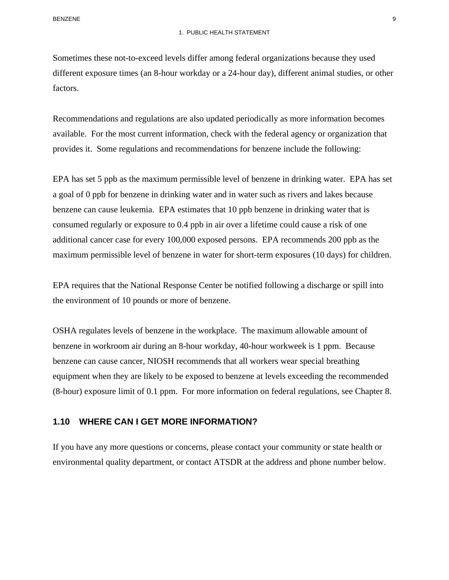Sometimes these not-to-exceed levels differ among federal organizations because they used different exposure times (an 8-hour workday or a 24-hour day), different animal studies, or other factors.

Recommendations and regulations are also updated periodically as more information becomes available. For the most current information, check with the federal agency or organization that provides it. Some regulations and recommendations for benzene include the following:

EPA has set 5 ppb as the maximum permissible level of benzene in drinking water. EPA has set a goal of 0 ppb for benzene in drinking water and in water such as rivers and lakes because benzene can cause leukemia. EPA estimates that 10 ppb benzene in drinking water that is consumed regularly or exposure to 0.4 ppb in air over a lifetime could cause a risk of one additional cancer case for every 100,000 exposed persons. EPA recommends 200 ppb as the maximum permissible level of benzene in water for short-term exposures (10 days) for children.

EPA requires that the National Response Center be notified following a discharge or spill into the environment of 10 pounds or more of benzene.

OSHA regulates levels of benzene in the workplace. The maximum allowable amount of benzene in workroom air during an 8-hour workday, 40-hour workweek is 1 ppm. Because benzene can cause cancer, NIOSH recommends that all workers wear special breathing equipment when they are likely to be exposed to benzene at levels exceeding the recommended (8-hour) exposure limit of 0.1 ppm. For more information on federal regulations, see Chapter 8.

### **1.10 WHERE CAN I GET MORE INFORMATION?**

If you have any more questions or concerns, please contact your community or state health or environmental quality department, or contact ATSDR at the address and phone number below.